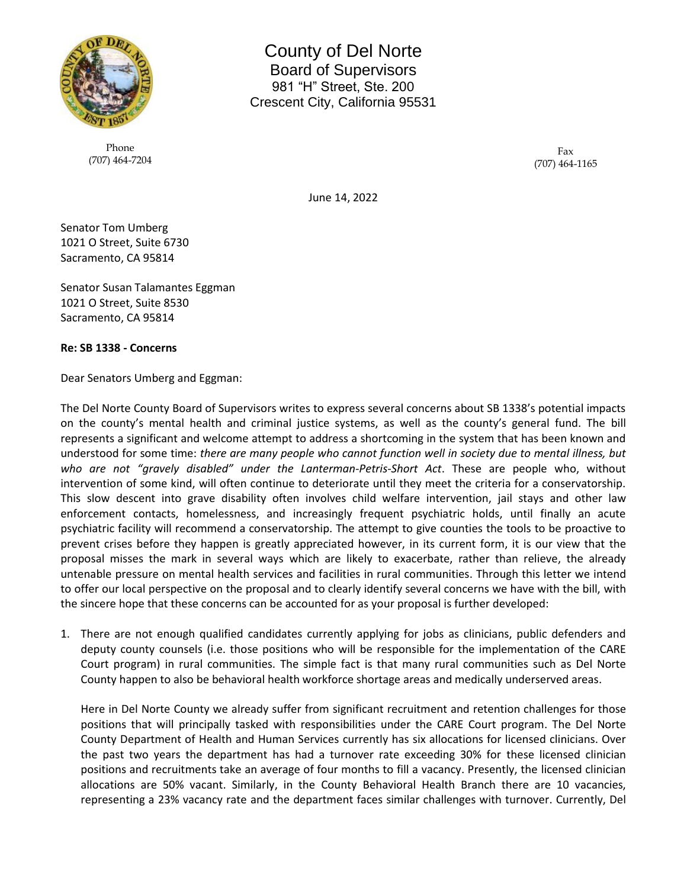

Phone (707) 464-7204

County of Del Norte Board of Supervisors 981 "H" Street, Ste. 200 Crescent City, California 95531

> Fax (707) 464-1165

June 14, 2022

Senator Tom Umberg 1021 O Street, Suite 6730 Sacramento, CA 95814

Senator Susan Talamantes Eggman 1021 O Street, Suite 8530 Sacramento, CA 95814

## **Re: SB 1338 - Concerns**

Dear Senators Umberg and Eggman:

The Del Norte County Board of Supervisors writes to express several concerns about SB 1338's potential impacts on the county's mental health and criminal justice systems, as well as the county's general fund. The bill represents a significant and welcome attempt to address a shortcoming in the system that has been known and understood for some time: *there are many people who cannot function well in society due to mental illness, but who are not "gravely disabled" under the Lanterman-Petris-Short Act*. These are people who, without intervention of some kind, will often continue to deteriorate until they meet the criteria for a conservatorship. This slow descent into grave disability often involves child welfare intervention, jail stays and other law enforcement contacts, homelessness, and increasingly frequent psychiatric holds, until finally an acute psychiatric facility will recommend a conservatorship. The attempt to give counties the tools to be proactive to prevent crises before they happen is greatly appreciated however, in its current form, it is our view that the proposal misses the mark in several ways which are likely to exacerbate, rather than relieve, the already untenable pressure on mental health services and facilities in rural communities. Through this letter we intend to offer our local perspective on the proposal and to clearly identify several concerns we have with the bill, with the sincere hope that these concerns can be accounted for as your proposal is further developed:

1. There are not enough qualified candidates currently applying for jobs as clinicians, public defenders and deputy county counsels (i.e. those positions who will be responsible for the implementation of the CARE Court program) in rural communities. The simple fact is that many rural communities such as Del Norte County happen to also be behavioral health workforce shortage areas and medically underserved areas.

Here in Del Norte County we already suffer from significant recruitment and retention challenges for those positions that will principally tasked with responsibilities under the CARE Court program. The Del Norte County Department of Health and Human Services currently has six allocations for licensed clinicians. Over the past two years the department has had a turnover rate exceeding 30% for these licensed clinician positions and recruitments take an average of four months to fill a vacancy. Presently, the licensed clinician allocations are 50% vacant. Similarly, in the County Behavioral Health Branch there are 10 vacancies, representing a 23% vacancy rate and the department faces similar challenges with turnover. Currently, Del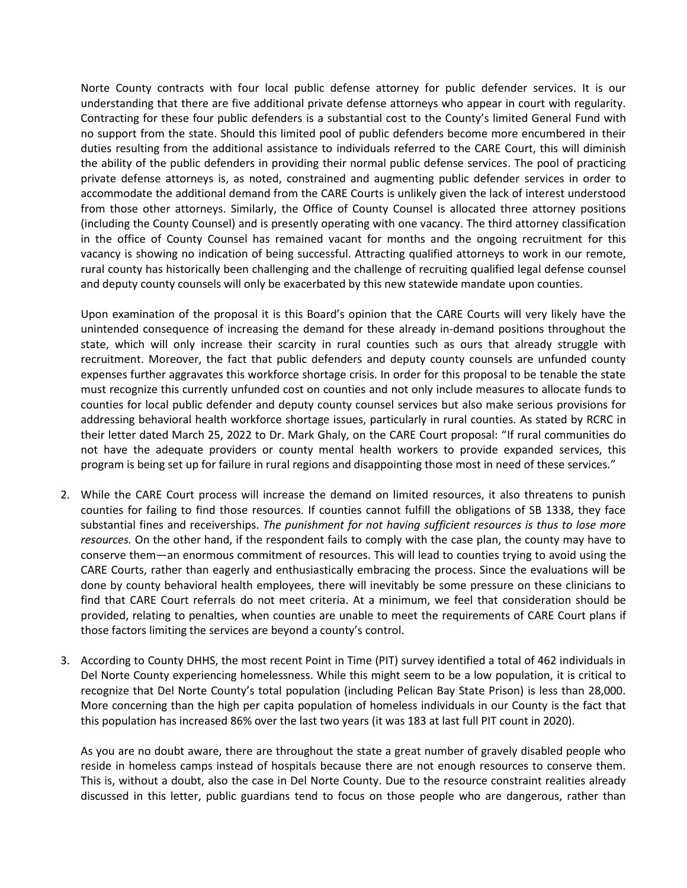Norte County contracts with four local public defense attorney for public defender services. It is our understanding that there are five additional private defense attorneys who appear in court with regularity. Contracting for these four public defenders is a substantial cost to the County's limited General Fund with no support from the state. Should this limited pool of public defenders become more encumbered in their duties resulting from the additional assistance to individuals referred to the CARE Court, this will diminish the ability of the public defenders in providing their normal public defense services. The pool of practicing private defense attorneys is, as noted, constrained and augmenting public defender services in order to accommodate the additional demand from the CARE Courts is unlikely given the lack of interest understood from those other attorneys. Similarly, the Office of County Counsel is allocated three attorney positions (including the County Counsel) and is presently operating with one vacancy. The third attorney classification in the office of County Counsel has remained vacant for months and the ongoing recruitment for this vacancy is showing no indication of being successful. Attracting qualified attorneys to work in our remote, rural county has historically been challenging and the challenge of recruiting qualified legal defense counsel and deputy county counsels will only be exacerbated by this new statewide mandate upon counties.

Upon examination of the proposal it is this Board's opinion that the CARE Courts will very likely have the unintended consequence of increasing the demand for these already in-demand positions throughout the state, which will only increase their scarcity in rural counties such as ours that already struggle with recruitment. Moreover, the fact that public defenders and deputy county counsels are unfunded county expenses further aggravates this workforce shortage crisis. In order for this proposal to be tenable the state must recognize this currently unfunded cost on counties and not only include measures to allocate funds to counties for local public defender and deputy county counsel services but also make serious provisions for addressing behavioral health workforce shortage issues, particularly in rural counties. As stated by RCRC in their letter dated March 25, 2022 to Dr. Mark Ghaly, on the CARE Court proposal: "If rural communities do not have the adequate providers or county mental health workers to provide expanded services, this program is being set up for failure in rural regions and disappointing those most in need of these services."

- 2. While the CARE Court process will increase the demand on limited resources, it also threatens to punish counties for failing to find those resources. If counties cannot fulfill the obligations of SB 1338, they face substantial fines and receiverships. *The punishment for not having sufficient resources is thus to lose more resources.* On the other hand, if the respondent fails to comply with the case plan, the county may have to conserve them—an enormous commitment of resources. This will lead to counties trying to avoid using the CARE Courts, rather than eagerly and enthusiastically embracing the process. Since the evaluations will be done by county behavioral health employees, there will inevitably be some pressure on these clinicians to find that CARE Court referrals do not meet criteria. At a minimum, we feel that consideration should be provided, relating to penalties, when counties are unable to meet the requirements of CARE Court plans if those factors limiting the services are beyond a county's control.
- 3. According to County DHHS, the most recent Point in Time (PIT) survey identified a total of 462 individuals in Del Norte County experiencing homelessness. While this might seem to be a low population, it is critical to recognize that Del Norte County's total population (including Pelican Bay State Prison) is less than 28,000. More concerning than the high per capita population of homeless individuals in our County is the fact that this population has increased 86% over the last two years (it was 183 at last full PIT count in 2020).

As you are no doubt aware, there are throughout the state a great number of gravely disabled people who reside in homeless camps instead of hospitals because there are not enough resources to conserve them. This is, without a doubt, also the case in Del Norte County. Due to the resource constraint realities already discussed in this letter, public guardians tend to focus on those people who are dangerous, rather than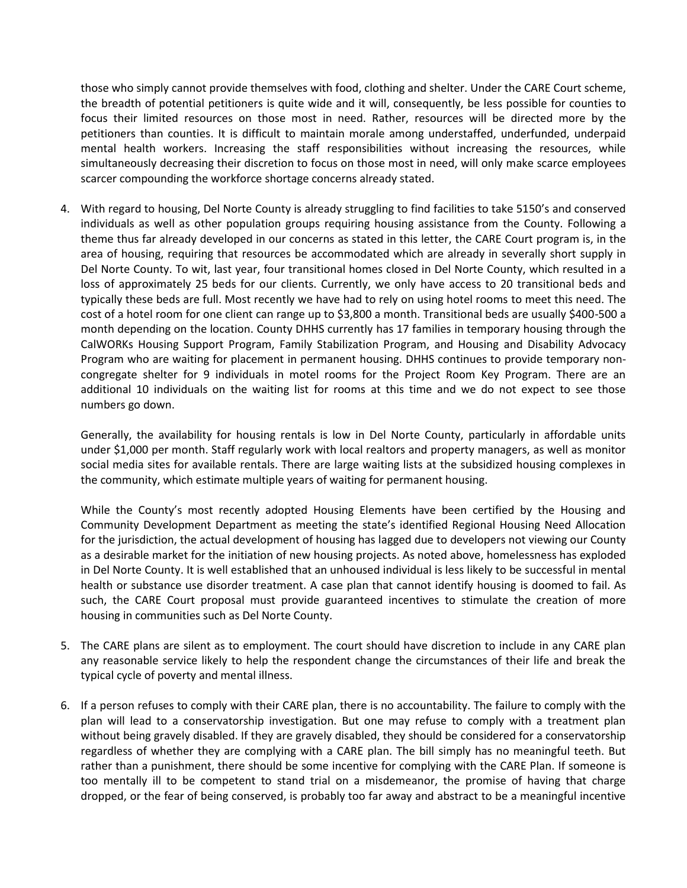those who simply cannot provide themselves with food, clothing and shelter. Under the CARE Court scheme, the breadth of potential petitioners is quite wide and it will, consequently, be less possible for counties to focus their limited resources on those most in need. Rather, resources will be directed more by the petitioners than counties. It is difficult to maintain morale among understaffed, underfunded, underpaid mental health workers. Increasing the staff responsibilities without increasing the resources, while simultaneously decreasing their discretion to focus on those most in need, will only make scarce employees scarcer compounding the workforce shortage concerns already stated.

4. With regard to housing, Del Norte County is already struggling to find facilities to take 5150's and conserved individuals as well as other population groups requiring housing assistance from the County. Following a theme thus far already developed in our concerns as stated in this letter, the CARE Court program is, in the area of housing, requiring that resources be accommodated which are already in severally short supply in Del Norte County. To wit, last year, four transitional homes closed in Del Norte County, which resulted in a loss of approximately 25 beds for our clients. Currently, we only have access to 20 transitional beds and typically these beds are full. Most recently we have had to rely on using hotel rooms to meet this need. The cost of a hotel room for one client can range up to \$3,800 a month. Transitional beds are usually \$400-500 a month depending on the location. County DHHS currently has 17 families in temporary housing through the CalWORKs Housing Support Program, Family Stabilization Program, and Housing and Disability Advocacy Program who are waiting for placement in permanent housing. DHHS continues to provide temporary noncongregate shelter for 9 individuals in motel rooms for the Project Room Key Program. There are an additional 10 individuals on the waiting list for rooms at this time and we do not expect to see those numbers go down.

Generally, the availability for housing rentals is low in Del Norte County, particularly in affordable units under \$1,000 per month. Staff regularly work with local realtors and property managers, as well as monitor social media sites for available rentals. There are large waiting lists at the subsidized housing complexes in the community, which estimate multiple years of waiting for permanent housing.

While the County's most recently adopted Housing Elements have been certified by the Housing and Community Development Department as meeting the state's identified Regional Housing Need Allocation for the jurisdiction, the actual development of housing has lagged due to developers not viewing our County as a desirable market for the initiation of new housing projects. As noted above, homelessness has exploded in Del Norte County. It is well established that an unhoused individual is less likely to be successful in mental health or substance use disorder treatment. A case plan that cannot identify housing is doomed to fail. As such, the CARE Court proposal must provide guaranteed incentives to stimulate the creation of more housing in communities such as Del Norte County.

- 5. The CARE plans are silent as to employment. The court should have discretion to include in any CARE plan any reasonable service likely to help the respondent change the circumstances of their life and break the typical cycle of poverty and mental illness.
- 6. If a person refuses to comply with their CARE plan, there is no accountability. The failure to comply with the plan will lead to a conservatorship investigation. But one may refuse to comply with a treatment plan without being gravely disabled. If they are gravely disabled, they should be considered for a conservatorship regardless of whether they are complying with a CARE plan. The bill simply has no meaningful teeth. But rather than a punishment, there should be some incentive for complying with the CARE Plan. If someone is too mentally ill to be competent to stand trial on a misdemeanor, the promise of having that charge dropped, or the fear of being conserved, is probably too far away and abstract to be a meaningful incentive